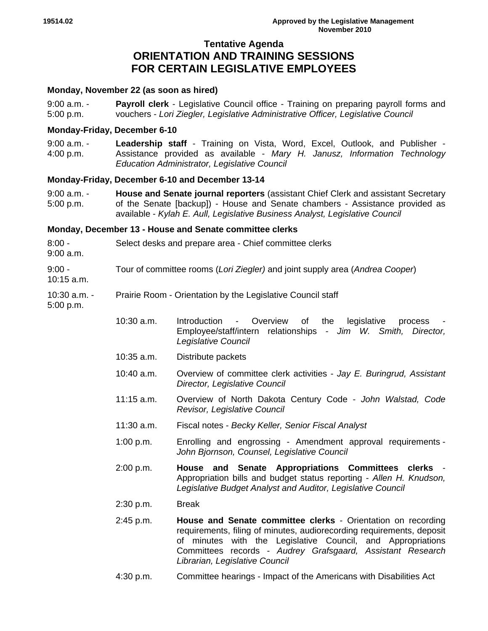# **Tentative Agenda ORIENTATION AND TRAINING SESSIONS FOR CERTAIN LEGISLATIVE EMPLOYEES**

# **Monday, November 22 (as soon as hired)**

| $9:00$ a.m. - | <b>Payroll clerk</b> - Legislative Council office - Training on preparing payroll forms and |
|---------------|---------------------------------------------------------------------------------------------|
| 5:00 p.m.     | vouchers - Lori Ziegler, Legislative Administrative Officer, Legislative Council            |

# **Monday-Friday, December 6-10**

9:00 a.m. - 4:00 p.m. **Leadership staff** - Training on Vista, Word, Excel, Outlook, and Publisher - Assistance provided as available - *Mary H. Janusz, Information Technology Education Administrator, Legislative Council*

# **Monday-Friday, December 6-10 and December 13-14**

9:00 a.m. - 5:00 p.m. **House and Senate journal reporters** (assistant Chief Clerk and assistant Secretary of the Senate [backup]) - House and Senate chambers - Assistance provided as available - *Kylah E. Aull, Legislative Business Analyst, Legislative Council*

# **Monday, December 13 - House and Senate committee clerks**

- $8:00 -$ 9:00 a.m. Select desks and prepare area - Chief committee clerks  $9:00 -$ 10:15 a.m. Tour of committee rooms (*Lori Ziegler)* and joint supply area (*Andrea Cooper*)
- 10:30 a.m. Prairie Room - Orientation by the Legislative Council staff

5:00 p.m.

- 10:30 a.m. Introduction Overview of the legislative process Employee/staff/intern relationships - *Jim W. Smith, Director, Legislative Council*
- 10:35 a.m. Distribute packets
- 10:40 a.m. Overview of committee clerk activities *Jay E. Buringrud, Assistant Director, Legislative Council*
- 11:15 a.m. Overview of North Dakota Century Code *John Walstad, Code Revisor, Legislative Council*
- 11:30 a.m. Fiscal notes *Becky Keller, Senior Fiscal Analyst*
- 1:00 p.m. Enrolling and engrossing Amendment approval requirements *John Bjornson, Counsel, Legislative Council*
- 2:00 p.m. **House and Senate Appropriations Committees clerks** Appropriation bills and budget status reporting - *Allen H. Knudson, Legislative Budget Analyst and Auditor, Legislative Council*
- 2:30 p.m. Break
- 2:45 p.m. **House and Senate committee clerks**  Orientation on recording requirements, filing of minutes, audiorecording requirements, deposit of minutes with the Legislative Council, and Appropriations Committees records - *Audrey Grafsgaard, Assistant Research Librarian, Legislative Council*
- 4:30 p.m. Committee hearings Impact of the Americans with Disabilities Act